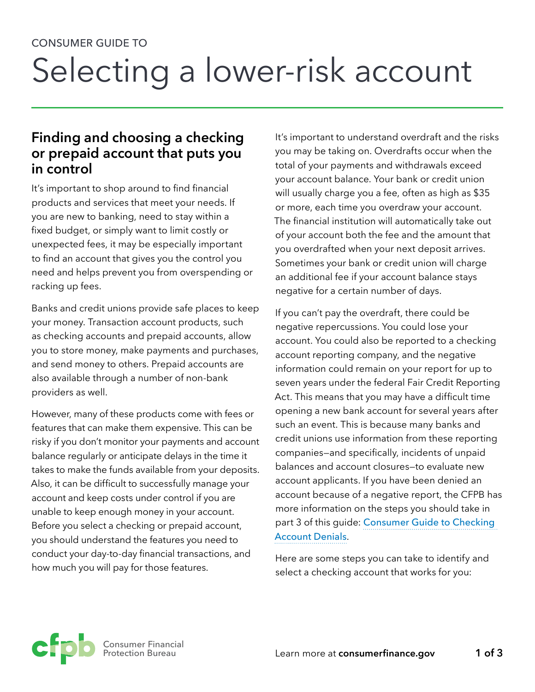# CONSUMER GUIDE TO Selecting a lower-risk account

### **Finding and choosing a checking or prepaid account that puts you in control**

It's important to shop around to find financial products and services that meet your needs. If you are new to banking, need to stay within a fixed budget, or simply want to limit costly or unexpected fees, it may be especially important to find an account that gives you the control you need and helps prevent you from overspending or racking up fees.

Banks and credit unions provide safe places to keep your money. Transaction account products, such as checking accounts and prepaid accounts, allow you to store money, make payments and purchases, and send money to others. Prepaid accounts are also available through a number of non-bank providers as well.

However, many of these products come with fees or features that can make them expensive. This can be risky if you don't monitor your payments and account balance regularly or anticipate delays in the time it takes to make the funds available from your deposits. Also, it can be difficult to successfully manage your account and keep costs under control if you are unable to keep enough money in your account. Before you select a checking or prepaid account, you should understand the features you need to conduct your day-to-day financial transactions, and how much you will pay for those features.

It's important to understand overdraft and the risks you may be taking on. Overdrafts occur when the total of your payments and withdrawals exceed your account balance. Your bank or credit union will usually charge you a fee, often as high as \$35 or more, each time you overdraw your account. The financial institution will automatically take out of your account both the fee and the amount that you overdrafted when your next deposit arrives. Sometimes your bank or credit union will charge an additional fee if your account balance stays negative for a certain number of days.

If you can't pay the overdraft, there could be negative repercussions. You could lose your account. You could also be reported to a checking account reporting company, and the negative information could remain on your report for up to seven years under the federal Fair Credit Reporting Act. This means that you may have a difficult time opening a new bank account for several years after such an event. This is because many banks and credit unions use information from these reporting companies—and specifically, incidents of unpaid balances and account closures—to evaluate new account applicants. If you have been denied an account because of a negative report, the CFPB has more information on the steps you should take in part 3 of this guide: [Consumer Guide to Checking](http://files.consumerfinance.gov/f/201602_cfpb_consumer-guide-to-being-denied-a-checking-account.pdf)  [Account Denials](http://files.consumerfinance.gov/f/201602_cfpb_consumer-guide-to-being-denied-a-checking-account.pdf).

Here are some steps you can take to identify and select a checking account that works for you:

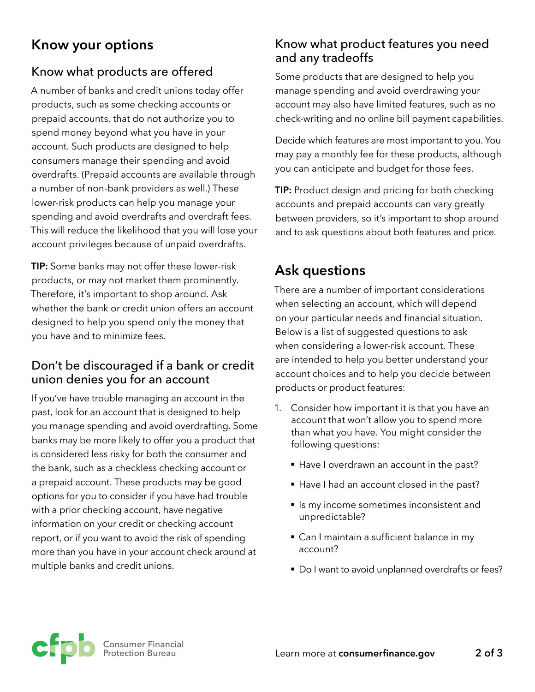## **Know your options**

#### Know what products are offered

A number of banks and credit unions today offer products, such as some checking accounts or prepaid accounts, that do not authorize you to spend money beyond what you have in your account. Such products are designed to help consumers manage their spending and avoid overdrafts. (Prepaid accounts are available through a number of non-bank providers as well.) These lower-risk products can help you manage your spending and avoid overdrafts and overdraft fees. This will reduce the likelihood that you will lose your account privileges because of unpaid overdrafts.

**TIP:** Some banks may not offer these lower-risk products, or may not market them prominently. Therefore, it's important to shop around. Ask whether the bank or credit union offers an account designed to help you spend only the money that you have and to minimize fees.

#### Don't be discouraged if a bank or credit union denies you for an account

If you've have trouble managing an account in the past, look for an account that is designed to help you manage spending and avoid overdrafting. Some banks may be more likely to offer you a product that is considered less risky for both the consumer and the bank, such as a checkless checking account or a prepaid account. These products may be good options for you to consider if you have had trouble with a prior checking account, have negative information on your credit or checking account report, or if you want to avoid the risk of spending more than you have in your account check around at multiple banks and credit unions.

#### Know what product features you need and any tradeoffs

Some products that are designed to help you manage spending and avoid overdrawing your account may also have limited features, such as no check-writing and no online bill payment capabilities.

Decide which features are most important to you. You may pay a monthly fee for these products, although you can anticipate and budget for those fees.

**TIP:** Product design and pricing for both checking accounts and prepaid accounts can vary greatly between providers, so it's important to shop around and to ask questions about both features and price.

## **Ask questions**

There are a number of important considerations when selecting an account, which will depend on your particular needs and financial situation. Below is a list of suggested questions to ask when considering a lower-risk account. These are intended to help you better understand your account choices and to help you decide between products or product features:

- 1. Consider how important it is that you have an account that won't allow you to spend more than what you have. You might consider the following questions:
	- Have I overdrawn an account in the past?
	- § Have I had an account closed in the past?
	- § Is my income sometimes inconsistent and unpredictable?
	- Can I maintain a sufficient balance in my account?
	- Do I want to avoid unplanned overdrafts or fees?